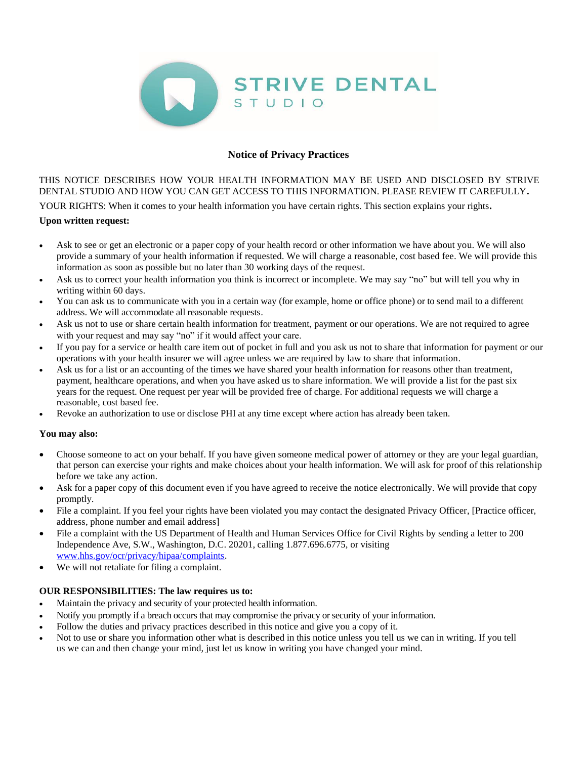

# **Notice of Privacy Practices**

THIS NOTICE DESCRIBES HOW YOUR HEALTH INFORMATION MAY BE USED AND DISCLOSED BY STRIVE DENTAL STUDIO AND HOW YOU CAN GET ACCESS TO THIS INFORMATION. PLEASE REVIEW IT CAREFULLY**.**

YOUR RIGHTS: When it comes to your health information you have certain rights. This section explains your rights**.**

### **Upon written request:**

- Ask to see or get an electronic or a paper copy of your health record or other information we have about you. We will also provide a summary of your health information if requested. We will charge a reasonable, cost based fee. We will provide this information as soon as possible but no later than 30 working days of the request.
- Ask us to correct your health information you think is incorrect or incomplete. We may say "no" but will tell you why in writing within 60 days.
- You can ask us to communicate with you in a certain way (for example, home or office phone) or to send mail to a different address. We will accommodate all reasonable requests.
- Ask us not to use or share certain health information for treatment, payment or our operations. We are not required to agree with your request and may say "no" if it would affect your care.
- If you pay for a service or health care item out of pocket in full and you ask us not to share that information for payment or our operations with your health insurer we will agree unless we are required by law to share that information.
- Ask us for a list or an accounting of the times we have shared your health information for reasons other than treatment, payment, healthcare operations, and when you have asked us to share information. We will provide a list for the past six years for the request. One request per year will be provided free of charge. For additional requests we will charge a reasonable, cost based fee.
- Revoke an authorization to use or disclose PHI at any time except where action has already been taken.

### **You may also:**

- Choose someone to act on your behalf. If you have given someone medical power of attorney or they are your legal guardian, that person can exercise your rights and make choices about your health information. We will ask for proof of this relationship before we take any action.
- Ask for a paper copy of this document even if you have agreed to receive the notice electronically. We will provide that copy promptly.
- File a complaint. If you feel your rights have been violated you may contact the designated Privacy Officer, [Practice officer, address, phone number and email address]
- File a complaint with the US Department of Health and Human Services Office for Civil Rights by sending a letter to 200 Independence Ave, S.W., Washington, D.C. 20201, calling 1.877.696.6775, or visiting [www.hhs.gov/ocr/privacy/hipaa/complaints.](http://www.hhs.gov/ocr/privacy/hipaa/complaints)
- We will not retaliate for filing a complaint.

### **OUR RESPONSIBILITIES: The law requires us to:**

- Maintain the privacy and security of your protected health information.
- Notify you promptly if a breach occurs that may compromise the privacy or security of your information.
- Follow the duties and privacy practices described in this notice and give you a copy of it.
- Not to use or share you information other what is described in this notice unless you tell us we can in writing. If you tell us we can and then change your mind, just let us know in writing you have changed your mind.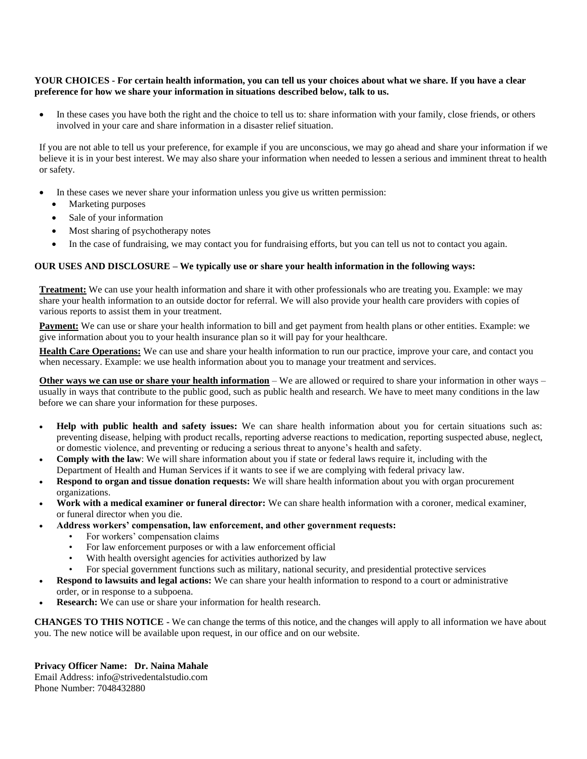#### **YOUR CHOICES - For certain health information, you can tell us your choices about what we share. If you have a clear preference for how we share your information in situations described below, talk to us.**

In these cases you have both the right and the choice to tell us to: share information with your family, close friends, or others involved in your care and share information in a disaster relief situation.

If you are not able to tell us your preference, for example if you are unconscious, we may go ahead and share your information if we believe it is in your best interest. We may also share your information when needed to lessen a serious and imminent threat to health or safety.

- In these cases we never share your information unless you give us written permission:
	- Marketing purposes
	- Sale of your information
	- Most sharing of psychotherapy notes
	- In the case of fundraising, we may contact you for fundraising efforts, but you can tell us not to contact you again.

## **OUR USES AND DISCLOSURE – We typically use or share your health information in the following ways:**

**Treatment:** We can use your health information and share it with other professionals who are treating you. Example: we may share your health information to an outside doctor for referral. We will also provide your health care providers with copies of various reports to assist them in your treatment.

**Payment:** We can use or share your health information to bill and get payment from health plans or other entities. Example: we give information about you to your health insurance plan so it will pay for your healthcare.

**Health Care Operations:** We can use and share your health information to run our practice, improve your care, and contact you when necessary. Example: we use health information about you to manage your treatment and services.

**Other ways we can use or share your health information** – We are allowed or required to share your information in other ways – usually in ways that contribute to the public good, such as public health and research. We have to meet many conditions in the law before we can share your information for these purposes.

- **Help with public health and safety issues:** We can share health information about you for certain situations such as: preventing disease, helping with product recalls, reporting adverse reactions to medication, reporting suspected abuse, neglect, or domestic violence, and preventing or reducing a serious threat to anyone's health and safety.
- **Comply with the law**: We will share information about you if state or federal laws require it, including with the Department of Health and Human Services if it wants to see if we are complying with federal privacy law.
- **Respond to organ and tissue donation requests:** We will share health information about you with organ procurement organizations.
- **Work with a medical examiner or funeral director:** We can share health information with a coroner, medical examiner, or funeral director when you die.
- **Address workers' compensation, law enforcement, and other government requests:**
	- For workers' compensation claims
	- For law enforcement purposes or with a law enforcement official
	- With health oversight agencies for activities authorized by law
	- For special government functions such as military, national security, and presidential protective services
- **Respond to lawsuits and legal actions:** We can share your health information to respond to a court or administrative order, or in response to a subpoena.
- **Research:** We can use or share your information for health research.

**CHANGES TO THIS NOTICE -** We can change the terms of this notice, and the changes will apply to all information we have about you. The new notice will be available upon request, in our office and on our website.

### **Privacy Officer Name: Dr. Naina Mahale**

Email Address: info@strivedentalstudio.com Phone Number: 7048432880